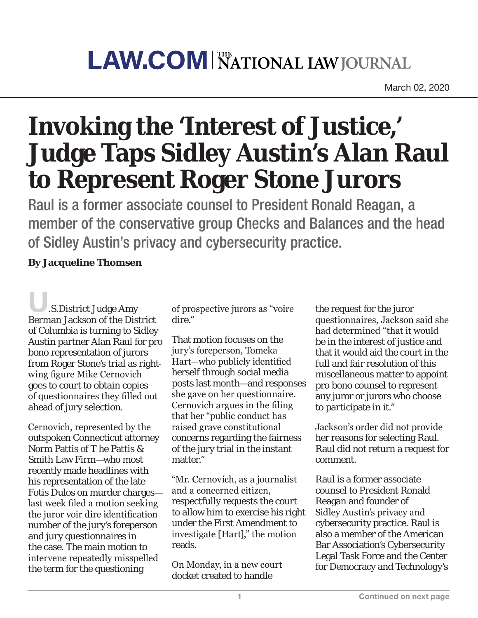## **LAW.COM NATIONAL LAW JOURNAL**

March 02, 2020

## **Invoking the 'Interest of Justice,' Judge Taps Sidley Austin's Alan Raul to Represent Roger Stone Jurors**

Raul is a former associate counsel to President Ronald Reagan, a member of the conservative group Checks and Balances and the head of Sidley Austin's privacy and cybersecurity practice.

## **By Jacqueline Thomsen**

U.S.District Judge Amy Berman Jackson of the District of Columbia is turning to Sidley Austin partner Alan Raul for pro bono representation of jurors from Roger Stone's trial as rightwing figure Mike Cernovich goes to court to obtain copies of questionnaires they filled out ahead of jury selection.

Cernovich, represented by the outspoken Connecticut attorney Norm Pattis of T he Pattis & Smith Law Firm—who most recently made headlines with his representation of the late Fotis Dulos on murder charges last week filed a motion seeking the juror voir dire identification number of the jury's foreperson and jury questionnaires in the case. The main motion to intervene repeatedly misspelled the term for the questioning

of prospective jurors as "voire dire."

That motion focuses on the jury's foreperson, Tomeka Hart—who publicly identified herself through social media posts last month—and responses she gave on her questionnaire. Cernovich argues in the filing that her "public conduct has raised grave constitutional concerns regarding the fairness of the jury trial in the instant matter."

"Mr. Cernovich, as a journalist and a concerned citizen, respectfully requests the court to allow him to exercise his right under the First Amendment to investigate [Hart]," the motion reads.

On Monday, in a new court docket created to handle

the request for the juror questionnaires, Jackson said she had determined "that it would be in the interest of justice and that it would aid the court in the full and fair resolution of this miscellaneous matter to appoint pro bono counsel to represent any juror or jurors who choose to participate in it."

Jackson's order did not provide her reasons for selecting Raul. Raul did not return a request for comment.

Raul is a former associate counsel to President Ronald Reagan and founder of Sidley Austin's privacy and cybersecurity practice. Raul is also a member of the American Bar Association's Cybersecurity Legal Task Force and the Center for Democracy and Technology's